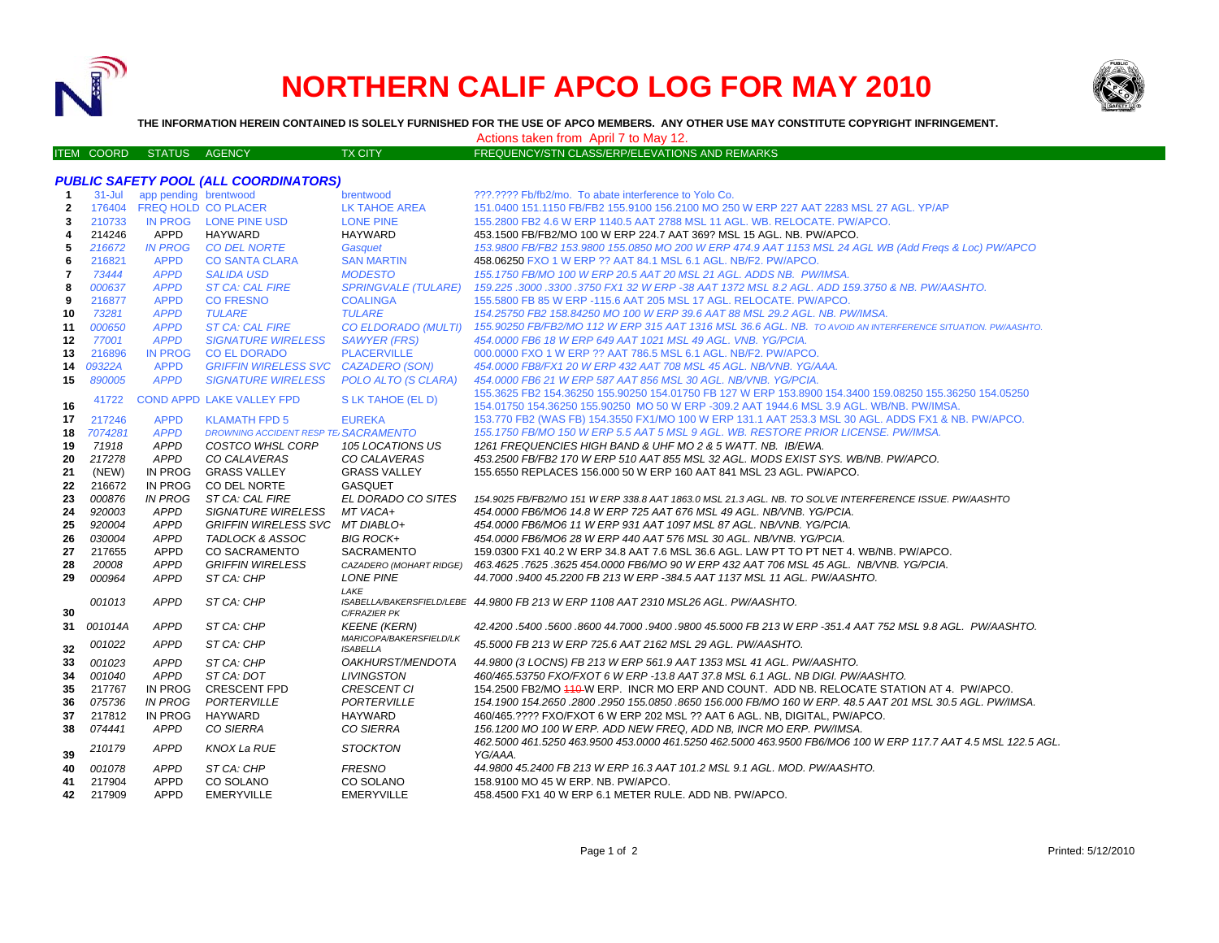

## **NORTHERN CALIF APCO LOG FOR MAY 2010**



**THE INFORMATION HEREIN CONTAINED IS SOLELY FURNISHED FOR THE USE OF APCO MEMBERS. ANY OTHER USE MAY CONSTITUTE COPYRIGHT INFRINGEMENT.**

Actions taken from April 7 to May 12.

ITEM COORD STATUS AGENCY TX CITY TIES TO PREQUENCY/STN CLASS/ERP/ELEVATIONS AND REMARKS

|              |            |                       | <b>PUBLIC SAFETY POOL (ALL COORDINATORS)</b> |                                                |                                                                                                                          |
|--------------|------------|-----------------------|----------------------------------------------|------------------------------------------------|--------------------------------------------------------------------------------------------------------------------------|
| $\mathbf 1$  | $31 -$ Jul | app pending brentwood |                                              | brentwood                                      | ???.???? Fb/fb2/mo. To abate interference to Yolo Co.                                                                    |
| $\mathbf{2}$ | 176404     | FREQ HOLD CO PLACER   |                                              | LK TAHOE AREA                                  | 151.0400 151.1150 FB/FB2 155.9100 156.2100 MO 250 W ERP 227 AAT 2283 MSL 27 AGL. YP/AP                                   |
| 3            | 210733     |                       | IN PROG LONE PINE USD                        | <b>LONE PINE</b>                               | 155.2800 FB2 4.6 W ERP 1140.5 AAT 2788 MSL 11 AGL. WB. RELOCATE. PW/APCO.                                                |
| 4            | 214246     | <b>APPD</b>           | <b>HAYWARD</b>                               | <b>HAYWARD</b>                                 | 453.1500 FB/FB2/MO 100 W ERP 224.7 AAT 369? MSL 15 AGL. NB. PW/APCO.                                                     |
| 5            | 216672     | <b>IN PROG</b>        | <b>CO DEL NORTE</b>                          | Gasquet                                        | 153.9800 FB/FB2 153.9800 155.0850 MO 200 W ERP 474.9 AAT 1153 MSL 24 AGL WB (Add Freqs & Loc) PW/APCO                    |
| 6            | 216821     | <b>APPD</b>           | <b>CO SANTA CLARA</b>                        | <b>SAN MARTIN</b>                              | 458.06250 FXO 1 W ERP ?? AAT 84.1 MSL 6.1 AGL. NB/F2. PW/APCO.                                                           |
| 7            | 73444      | <b>APPD</b>           | <b>SALIDA USD</b>                            | <b>MODESTO</b>                                 | 155.1750 FB/MO 100 W ERP 20.5 AAT 20 MSL 21 AGL, ADDS NB, PW/IMSA.                                                       |
| 8            | 000637     | <b>APPD</b>           | <b>ST CA: CAL FIRE</b>                       | <b>SPRINGVALE (TULARE)</b>                     | 159.225 .3000 .3300 .3750 FX1 32 W ERP -38 AAT 1372 MSL 8.2 AGL. ADD 159.3750 & NB. PW/AASHTO.                           |
| 9            | 216877     | <b>APPD</b>           | <b>CO FRESNO</b>                             | <b>COALINGA</b>                                | 155.5800 FB 85 W ERP -115.6 AAT 205 MSL 17 AGL. RELOCATE. PW/APCO.                                                       |
| 10           | 73281      | <b>APPD</b>           | <b>TULARE</b>                                | <b>TULARE</b>                                  | 154.25750 FB2 158.84250 MO 100 W ERP 39.6 AAT 88 MSL 29.2 AGL. NB. PW/IMSA.                                              |
| 11           | 000650     | <b>APPD</b>           | <b>ST CA: CAL FIRE</b>                       | <b>CO ELDORADO (MULTI)</b>                     | 155.90250 FB/FB2/MO 112 W ERP 315 AAT 1316 MSL 36.6 AGL. NB. TO AVOID AN INTERFERENCE SITUATION. PW/AASHTO.              |
| 12           | 77001      | <b>APPD</b>           | <b>SIGNATURE WIRELESS</b>                    | <b>SAWYER (FRS)</b>                            | 454,0000 FB6 18 W ERP 649 AAT 1021 MSL 49 AGL, VNB, YG/PCIA.                                                             |
| 13           | 216896     | <b>IN PROG</b>        | <b>CO EL DORADO</b>                          | <b>PLACERVILLE</b>                             | 000.0000 FXO 1 W ERP ?? AAT 786.5 MSL 6.1 AGL. NB/F2. PW/APCO.                                                           |
| 14           | 09322A     | <b>APPD</b>           | <b>GRIFFIN WIRELESS SVC</b>                  | <b>CAZADERO (SON)</b>                          | 454.0000 FB8/FX1 20 W ERP 432 AAT 708 MSL 45 AGL. NB/VNB. YG/AAA.                                                        |
| 15           | 890005     | <b>APPD</b>           | <b>SIGNATURE WIRELESS</b>                    | POLO ALTO (S CLARA)                            | 454.0000 FB6 21 W ERP 587 AAT 856 MSL 30 AGL. NB/VNB. YG/PCIA.                                                           |
|              |            |                       |                                              |                                                | 155.3625 FB2 154.36250 155.90250 154.01750 FB 127 W ERP 153.8900 154.3400 159.08250 155.36250 154.05250                  |
| 16           | 41722      |                       | <b>COND APPD LAKE VALLEY FPD</b>             | S LK TAHOE (EL D)                              | 154.01750 154.36250 155.90250 MO 50 W ERP -309.2 AAT 1944.6 MSL 3.9 AGL. WB/NB. PW/IMSA.                                 |
| 17           | 217246     | <b>APPD</b>           | <b>KLAMATH FPD 5</b>                         | <b>EUREKA</b>                                  | 153.770 FB2 (WAS FB) 154.3550 FX1/MO 100 W ERP 131.1 AAT 253.3 MSL 30 AGL. ADDS FX1 & NB. PW/APCO.                       |
| 18           | 7074281    | <b>APPD</b>           | <b>DROWNING ACCIDENT RESP TE SACRAMENTO</b>  |                                                | 155.1750 FB/MO 150 W ERP 5.5 AAT 5 MSL 9 AGL. WB. RESTORE PRIOR LICENSE. PW/IMSA.                                        |
| 19           | 71918      | <b>APPD</b>           | <b>COSTCO WHSL CORP</b>                      | 105 LOCATIONS US                               | 1261 FREQUENCIES HIGH BAND & UHF MO 2 & 5 WATT, NB. IB/EWA.                                                              |
| 20           | 217278     | <b>APPD</b>           | CO CALAVERAS                                 | CO CALAVERAS                                   | 453.2500 FB/FB2 170 W ERP 510 AAT 855 MSL 32 AGL. MODS EXIST SYS. WB/NB. PW/APCO.                                        |
| 21           | (NEW)      | <b>IN PROG</b>        | <b>GRASS VALLEY</b>                          | <b>GRASS VALLEY</b>                            | 155.6550 REPLACES 156.000 50 W ERP 160 AAT 841 MSL 23 AGL. PW/APCO.                                                      |
| 22           | 216672     | <b>IN PROG</b>        | CO DEL NORTE                                 | <b>GASQUET</b>                                 |                                                                                                                          |
| 23           | 000876     | <b>IN PROG</b>        | ST CA: CAL FIRE                              | EL DORADO CO SITES                             | 154.9025 FB/FB2/MO 151 W ERP 338.8 AAT 1863.0 MSL 21.3 AGL. NB. TO SOLVE INTERFERENCE ISSUE. PW/AASHTO                   |
| 24           | 920003     | <b>APPD</b>           | <b>SIGNATURE WIRELESS</b>                    | MT VACA+                                       | 454.0000 FB6/MO6 14.8 W ERP 725 AAT 676 MSL 49 AGL, NB/VNB, YG/PCIA.                                                     |
| 25           | 920004     | <b>APPD</b>           | GRIFFIN WIRELESS SVC MT DIABLO+              |                                                | 454.0000 FB6/MO6 11 W ERP 931 AAT 1097 MSL 87 AGL. NB/VNB. YG/PCIA.                                                      |
| 26           | 030004     | <b>APPD</b>           | TADLOCK & ASSOC                              | <b>BIG ROCK+</b>                               | 454.0000 FB6/MO6 28 W ERP 440 AAT 576 MSL 30 AGL. NB/VNB. YG/PCIA.                                                       |
| 27           | 217655     | <b>APPD</b>           | <b>CO SACRAMENTO</b>                         | SACRAMENTO                                     | 159.0300 FX1 40.2 W ERP 34.8 AAT 7.6 MSL 36.6 AGL. LAW PT TO PT NET 4. WB/NB. PW/APCO.                                   |
| 28           | 20008      | <b>APPD</b>           | <b>GRIFFIN WIRELESS</b>                      | CAZADERO (MOHART RIDGE)                        | 463.4625 .7625 .3625 454.0000 FB6/MO 90 W ERP 432 AAT 706 MSL 45 AGL. NB/VNB. YG/PCIA.                                   |
| 29           | 000964     | <b>APPD</b>           | ST CA: CHP                                   | <b>LONE PINE</b>                               | 44.7000 .9400 45.2200 FB 213 W ERP -384.5 AAT 1137 MSL 11 AGL. PW/AASHTO.                                                |
|              |            |                       |                                              | LAKE                                           |                                                                                                                          |
|              | 001013     | <b>APPD</b>           | ST CA: CHP                                   |                                                | ISABELLA/BAKERSFIELD/LEBE 44.9800 FB 213 W ERP 1108 AAT 2310 MSL26 AGL. PW/AASHTO.                                       |
| 30           |            |                       |                                              | C/FRAZIER PK                                   | 42.4200.5400.5600.8600 44.7000.9400.9800 45.5000 FB 213 W ERP -351.4 AAT 752 MSL 9.8 AGL. PW/AASHTO.                     |
| 31           | 001014A    | <b>APPD</b>           | ST CA: CHP                                   | <b>KEENE (KERN)</b><br>MARICOPA/BAKERSFIELD/LK |                                                                                                                          |
| 32           | 001022     | <b>APPD</b>           | ST CA: CHP                                   | <b>ISABELLA</b>                                | 45.5000 FB 213 W ERP 725.6 AAT 2162 MSL 29 AGL. PW/AASHTO.                                                               |
| 33           | 001023     | <b>APPD</b>           | ST CA: CHP                                   | <i><b>OAKHURST/MENDOTA</b></i>                 | 44.9800 (3 LOCNS) FB 213 W ERP 561.9 AAT 1353 MSL 41 AGL. PW/AASHTO.                                                     |
| 34           | 001040     | <b>APPD</b>           | ST CA: DOT                                   | <b>LIVINGSTON</b>                              | 460/465.53750 FXO/FXOT 6 W ERP -13.8 AAT 37.8 MSL 6.1 AGL. NB DIGI. PW/AASHTO.                                           |
| 35           | 217767     | <b>IN PROG</b>        | <b>CRESCENT FPD</b>                          | <b>CRESCENT CI</b>                             | 154.2500 FB2/MO 410-W ERP. INCR MO ERP AND COUNT. ADD NB. RELOCATE STATION AT 4. PW/APCO.                                |
| 36           | 075736     | <b>IN PROG</b>        | PORTERVILLE                                  | <b>PORTERVILLE</b>                             | 154.1900 154.2650 .2800 .2950 155.0850 .8650 156.000 FB/MO 160 W ERP. 48.5 AAT 201 MSL 30.5 AGL. PW/IMSA.                |
| 37           | 217812     | IN PROG               | <b>HAYWARD</b>                               | <b>HAYWARD</b>                                 | 460/465.???? FXO/FXOT 6 W ERP 202 MSL ?? AAT 6 AGL. NB, DIGITAL, PW/APCO.                                                |
| 38           | 074441     | <b>APPD</b>           | CO SIERRA                                    | CO SIERRA                                      | 156.1200 MO 100 W ERP. ADD NEW FREQ, ADD NB, INCR MO ERP. PW/IMSA.                                                       |
| 39           | 210179     | <b>APPD</b>           | <b>KNOX La RUE</b>                           | <b>STOCKTON</b>                                | 462.5000 461.5250 463.9500 453.0000 461.5250 462.5000 463.9500 FB6/MO6 100 W ERP 117.7 AAT 4.5 MSL 122.5 AGL.<br>YG/AAA. |
| 40           | 001078     | <b>APPD</b>           | ST CA: CHP                                   | <b>FRESNO</b>                                  | 44.9800 45.2400 FB 213 W ERP 16.3 AAT 101.2 MSL 9.1 AGL, MOD, PW/AASHTO,                                                 |
| 41           | 217904     | <b>APPD</b>           | CO SOLANO                                    | CO SOLANO                                      | 158.9100 MO 45 W ERP. NB. PW/APCO.                                                                                       |
| 42           | 217909     | <b>APPD</b>           | <b>EMERYVILLE</b>                            | <b>EMERYVILLE</b>                              | 458.4500 FX1 40 W ERP 6.1 METER RULE. ADD NB. PW/APCO.                                                                   |